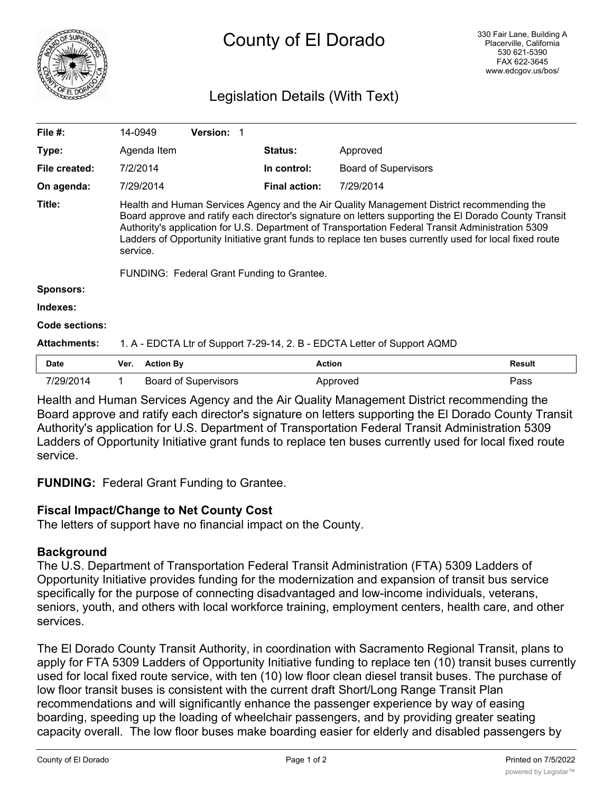

# County of El Dorado

# Legislation Details (With Text)

| File $#$ :          | 14-0949                                                                                                                                                                                                                                                                                                                                                                                                                                                                      |                             | Version: 1 |                      |                             |               |
|---------------------|------------------------------------------------------------------------------------------------------------------------------------------------------------------------------------------------------------------------------------------------------------------------------------------------------------------------------------------------------------------------------------------------------------------------------------------------------------------------------|-----------------------------|------------|----------------------|-----------------------------|---------------|
| Type:               |                                                                                                                                                                                                                                                                                                                                                                                                                                                                              | Agenda Item                 |            | <b>Status:</b>       | Approved                    |               |
| File created:       | 7/2/2014                                                                                                                                                                                                                                                                                                                                                                                                                                                                     |                             |            | In control:          | <b>Board of Supervisors</b> |               |
| On agenda:          | 7/29/2014                                                                                                                                                                                                                                                                                                                                                                                                                                                                    |                             |            | <b>Final action:</b> | 7/29/2014                   |               |
| Title:              | Health and Human Services Agency and the Air Quality Management District recommending the<br>Board approve and ratify each director's signature on letters supporting the El Dorado County Transit<br>Authority's application for U.S. Department of Transportation Federal Transit Administration 5309<br>Ladders of Opportunity Initiative grant funds to replace ten buses currently used for local fixed route<br>service.<br>FUNDING: Federal Grant Funding to Grantee. |                             |            |                      |                             |               |
| <b>Sponsors:</b>    |                                                                                                                                                                                                                                                                                                                                                                                                                                                                              |                             |            |                      |                             |               |
| Indexes:            |                                                                                                                                                                                                                                                                                                                                                                                                                                                                              |                             |            |                      |                             |               |
| Code sections:      |                                                                                                                                                                                                                                                                                                                                                                                                                                                                              |                             |            |                      |                             |               |
| <b>Attachments:</b> | 1. A - EDCTA Ltr of Support 7-29-14, 2. B - EDCTA Letter of Support AQMD                                                                                                                                                                                                                                                                                                                                                                                                     |                             |            |                      |                             |               |
| <b>Date</b>         | Ver.                                                                                                                                                                                                                                                                                                                                                                                                                                                                         | <b>Action By</b>            |            | <b>Action</b>        |                             | <b>Result</b> |
| 7/29/2014           |                                                                                                                                                                                                                                                                                                                                                                                                                                                                              | <b>Board of Supervisors</b> |            |                      | Approved                    | Pass          |

Health and Human Services Agency and the Air Quality Management District recommending the Board approve and ratify each director's signature on letters supporting the El Dorado County Transit Authority's application for U.S. Department of Transportation Federal Transit Administration 5309 Ladders of Opportunity Initiative grant funds to replace ten buses currently used for local fixed route service.

**FUNDING:** Federal Grant Funding to Grantee.

## **Fiscal Impact/Change to Net County Cost**

The letters of support have no financial impact on the County.

## **Background**

The U.S. Department of Transportation Federal Transit Administration (FTA) 5309 Ladders of Opportunity Initiative provides funding for the modernization and expansion of transit bus service specifically for the purpose of connecting disadvantaged and low-income individuals, veterans, seniors, youth, and others with local workforce training, employment centers, health care, and other services.

The El Dorado County Transit Authority, in coordination with Sacramento Regional Transit, plans to apply for FTA 5309 Ladders of Opportunity Initiative funding to replace ten (10) transit buses currently used for local fixed route service, with ten (10) low floor clean diesel transit buses. The purchase of low floor transit buses is consistent with the current draft Short/Long Range Transit Plan recommendations and will significantly enhance the passenger experience by way of easing boarding, speeding up the loading of wheelchair passengers, and by providing greater seating capacity overall. The low floor buses make boarding easier for elderly and disabled passengers by